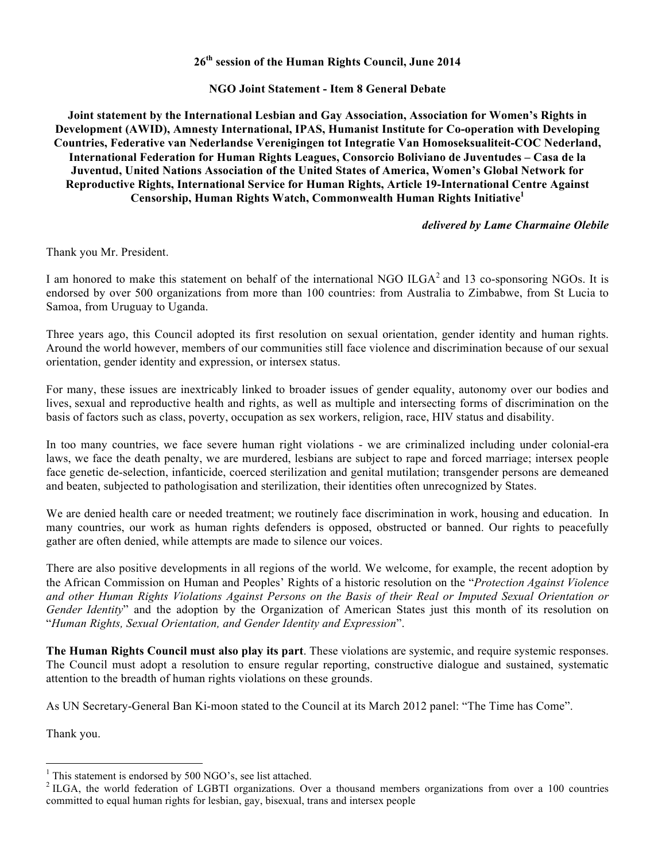**26th session of the Human Rights Council, June 2014**

**NGO Joint Statement - Item 8 General Debate**

**Joint statement by the International Lesbian and Gay Association, Association for Women's Rights in Development (AWID), Amnesty International, IPAS, Humanist Institute for Co-operation with Developing Countries, Federative van Nederlandse Verenigingen tot Integratie Van Homoseksualiteit-COC Nederland, International Federation for Human Rights Leagues, Consorcio Boliviano de Juventudes – Casa de la Juventud, United Nations Association of the United States of America, Women's Global Network for Reproductive Rights, International Service for Human Rights, Article 19-International Centre Against Censorship, Human Rights Watch, Commonwealth Human Rights Initiative1**

## *delivered by Lame Charmaine Olebile*

Thank you Mr. President.

I am honored to make this statement on behalf of the international NGO  $ILGA<sup>2</sup>$  and 13 co-sponsoring NGOs. It is endorsed by over 500 organizations from more than 100 countries: from Australia to Zimbabwe, from St Lucia to Samoa, from Uruguay to Uganda.

Three years ago, this Council adopted its first resolution on sexual orientation, gender identity and human rights. Around the world however, members of our communities still face violence and discrimination because of our sexual orientation, gender identity and expression, or intersex status.

For many, these issues are inextricably linked to broader issues of gender equality, autonomy over our bodies and lives, sexual and reproductive health and rights, as well as multiple and intersecting forms of discrimination on the basis of factors such as class, poverty, occupation as sex workers, religion, race, HIV status and disability.

In too many countries, we face severe human right violations - we are criminalized including under colonial-era laws, we face the death penalty, we are murdered, lesbians are subject to rape and forced marriage; intersex people face genetic de-selection, infanticide, coerced sterilization and genital mutilation; transgender persons are demeaned and beaten, subjected to pathologisation and sterilization, their identities often unrecognized by States.

We are denied health care or needed treatment; we routinely face discrimination in work, housing and education. In many countries, our work as human rights defenders is opposed, obstructed or banned. Our rights to peacefully gather are often denied, while attempts are made to silence our voices.

There are also positive developments in all regions of the world. We welcome, for example, the recent adoption by the African Commission on Human and Peoples' Rights of a historic resolution on the "*Protection Against Violence* and other Human Rights Violations Against Persons on the Basis of their Real or Imputed Sexual Orientation or *Gender Identity*" and the adoption by the Organization of American States just this month of its resolution on "*Human Rights, Sexual Orientation, and Gender Identity and Expression*".

**The Human Rights Council must also play its part**. These violations are systemic, and require systemic responses. The Council must adopt a resolution to ensure regular reporting, constructive dialogue and sustained, systematic attention to the breadth of human rights violations on these grounds.

As UN Secretary-General Ban Ki-moon stated to the Council at its March 2012 panel: "The Time has Come".

Thank you.

<sup>&</sup>lt;sup>1</sup> This statement is endorsed by 500 NGO's, see list attached.<br><sup>2</sup> ILGA, the world federation of LGBTI organizations. Over a thousand members organizations from over a 100 countries committed to equal human rights for lesbian, gay, bisexual, trans and intersex people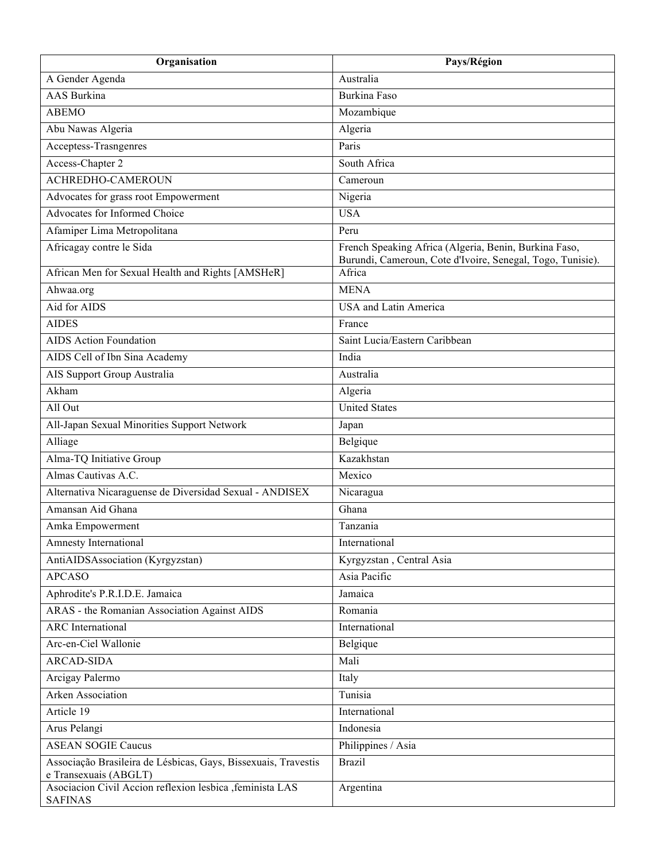| Organisation                                                                            | Pays/Région                                                                                                         |
|-----------------------------------------------------------------------------------------|---------------------------------------------------------------------------------------------------------------------|
| A Gender Agenda                                                                         | Australia                                                                                                           |
| <b>AAS</b> Burkina                                                                      | <b>Burkina Faso</b>                                                                                                 |
| <b>ABEMO</b>                                                                            | Mozambique                                                                                                          |
| Abu Nawas Algeria                                                                       | Algeria                                                                                                             |
| Acceptess-Trasngenres                                                                   | Paris                                                                                                               |
| Access-Chapter 2                                                                        | South Africa                                                                                                        |
| <b>ACHREDHO-CAMEROUN</b>                                                                | Cameroun                                                                                                            |
| Advocates for grass root Empowerment                                                    | Nigeria                                                                                                             |
| Advocates for Informed Choice                                                           | <b>USA</b>                                                                                                          |
| Afamiper Lima Metropolitana                                                             | Peru                                                                                                                |
| Africagay contre le Sida                                                                | French Speaking Africa (Algeria, Benin, Burkina Faso,<br>Burundi, Cameroun, Cote d'Ivoire, Senegal, Togo, Tunisie). |
| African Men for Sexual Health and Rights [AMSHeR]                                       | Africa                                                                                                              |
| Ahwaa.org                                                                               | <b>MENA</b>                                                                                                         |
| Aid for AIDS                                                                            | <b>USA</b> and Latin America                                                                                        |
| <b>AIDES</b>                                                                            | France                                                                                                              |
| <b>AIDS</b> Action Foundation                                                           | Saint Lucia/Eastern Caribbean                                                                                       |
| AIDS Cell of Ibn Sina Academy                                                           | India                                                                                                               |
| AIS Support Group Australia                                                             | Australia                                                                                                           |
| Akham                                                                                   | Algeria                                                                                                             |
| All Out                                                                                 | <b>United States</b>                                                                                                |
| All-Japan Sexual Minorities Support Network                                             | Japan                                                                                                               |
| Alliage                                                                                 | Belgique                                                                                                            |
| Alma-TQ Initiative Group                                                                | Kazakhstan                                                                                                          |
| Almas Cautivas A.C.                                                                     | Mexico                                                                                                              |
| Alternativa Nicaraguense de Diversidad Sexual - ANDISEX                                 | Nicaragua                                                                                                           |
| Amansan Aid Ghana                                                                       | Ghana                                                                                                               |
| Amka Empowerment                                                                        | Tanzania                                                                                                            |
| Amnesty International                                                                   | International                                                                                                       |
| AntiAIDSAssociation (Kyrgyzstan)                                                        | Kyrgyzstan, Central Asia                                                                                            |
| <b>APCASO</b>                                                                           | Asia Pacific                                                                                                        |
| Aphrodite's P.R.I.D.E. Jamaica                                                          | Jamaica                                                                                                             |
| ARAS - the Romanian Association Against AIDS                                            | Romania                                                                                                             |
| <b>ARC</b> International                                                                | International                                                                                                       |
| Arc-en-Ciel Wallonie                                                                    | Belgique                                                                                                            |
| <b>ARCAD-SIDA</b>                                                                       | Mali                                                                                                                |
| Arcigay Palermo                                                                         | Italy                                                                                                               |
| Arken Association                                                                       | Tunisia                                                                                                             |
| Article 19                                                                              | International                                                                                                       |
| Arus Pelangi                                                                            | Indonesia                                                                                                           |
| <b>ASEAN SOGIE Caucus</b>                                                               | Philippines / Asia                                                                                                  |
| Associação Brasileira de Lésbicas, Gays, Bissexuais, Travestis<br>e Transexuais (ABGLT) | <b>Brazil</b>                                                                                                       |
| Asociacion Civil Accion reflexion lesbica , feminista LAS<br><b>SAFINAS</b>             | Argentina                                                                                                           |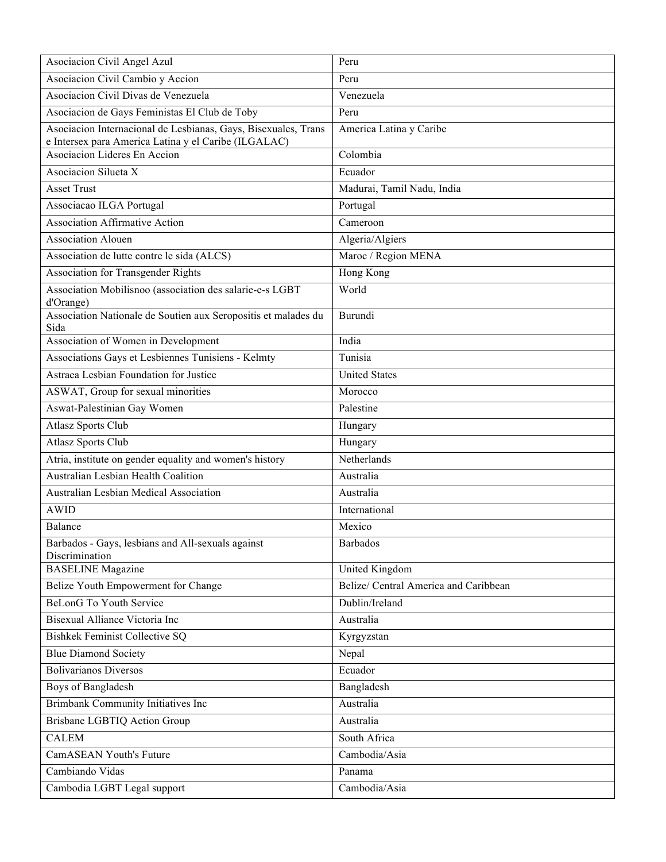| Asociacion Civil Angel Azul                                                                                            | Peru                                  |
|------------------------------------------------------------------------------------------------------------------------|---------------------------------------|
| Asociacion Civil Cambio y Accion                                                                                       | Peru                                  |
| Asociacion Civil Divas de Venezuela                                                                                    | Venezuela                             |
| Asociacion de Gays Feministas El Club de Toby                                                                          | Peru                                  |
| Asociacion Internacional de Lesbianas, Gays, Bisexuales, Trans<br>e Intersex para America Latina y el Caribe (ILGALAC) | America Latina y Caribe               |
| Asociacion Lideres En Accion                                                                                           | $\overline{\text{Colombia}}$          |
| Asociacion Silueta X                                                                                                   | Ecuador                               |
| <b>Asset Trust</b>                                                                                                     | Madurai, Tamil Nadu, India            |
| Associacao ILGA Portugal                                                                                               | Portugal                              |
| <b>Association Affirmative Action</b>                                                                                  | Cameroon                              |
| <b>Association Alouen</b>                                                                                              | Algeria/Algiers                       |
| Association de lutte contre le sida (ALCS)                                                                             | Maroc / Region MENA                   |
| Association for Transgender Rights                                                                                     | Hong Kong                             |
| Association Mobilisnoo (association des salarie-e-s LGBT                                                               | World                                 |
| d'Orange)                                                                                                              |                                       |
| Association Nationale de Soutien aux Seropositis et malades du<br>Sida                                                 | Burundi                               |
| Association of Women in Development                                                                                    | India                                 |
| Associations Gays et Lesbiennes Tunisiens - Kelmty                                                                     | Tunisia                               |
| Astraea Lesbian Foundation for Justice                                                                                 | <b>United States</b>                  |
| ASWAT, Group for sexual minorities                                                                                     | Morocco                               |
| Aswat-Palestinian Gay Women                                                                                            | Palestine                             |
| <b>Atlasz Sports Club</b>                                                                                              | Hungary                               |
| <b>Atlasz Sports Club</b>                                                                                              | Hungary                               |
| Atria, institute on gender equality and women's history                                                                | Netherlands                           |
| Australian Lesbian Health Coalition                                                                                    | Australia                             |
| Australian Lesbian Medical Association                                                                                 | Australia                             |
| <b>AWID</b>                                                                                                            | International                         |
| <b>Balance</b>                                                                                                         | Mexico                                |
| Barbados - Gays, lesbians and All-sexuals against<br>Discrimination                                                    | <b>Barbados</b>                       |
| <b>BASELINE</b> Magazine                                                                                               | United Kingdom                        |
| Belize Youth Empowerment for Change                                                                                    | Belize/ Central America and Caribbean |
| <b>BeLonG</b> To Youth Service                                                                                         | Dublin/Ireland                        |
| Bisexual Alliance Victoria Inc                                                                                         | Australia                             |
| <b>Bishkek Feminist Collective SQ</b>                                                                                  | Kyrgyzstan                            |
| <b>Blue Diamond Society</b>                                                                                            | Nepal                                 |
| <b>Bolivarianos Diversos</b>                                                                                           | Ecuador                               |
| Boys of Bangladesh                                                                                                     | Bangladesh                            |
| Brimbank Community Initiatives Inc                                                                                     | Australia                             |
| Brisbane LGBTIQ Action Group                                                                                           | Australia                             |
| <b>CALEM</b>                                                                                                           | South Africa                          |
| <b>CamASEAN Youth's Future</b>                                                                                         | Cambodia/Asia                         |
| Cambiando Vidas                                                                                                        | Panama                                |
| Cambodia LGBT Legal support                                                                                            | Cambodia/Asia                         |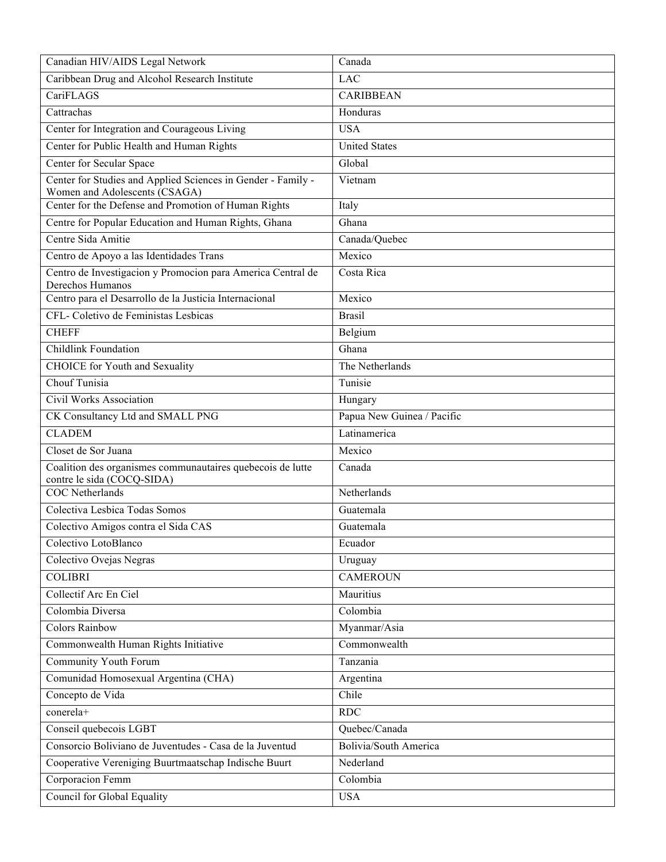| Canadian HIV/AIDS Legal Network                                                               | Canada                       |
|-----------------------------------------------------------------------------------------------|------------------------------|
| Caribbean Drug and Alcohol Research Institute                                                 | <b>LAC</b>                   |
| CariFLAGS                                                                                     | <b>CARIBBEAN</b>             |
| Cattrachas                                                                                    | Honduras                     |
| Center for Integration and Courageous Living                                                  | <b>USA</b>                   |
| Center for Public Health and Human Rights                                                     | <b>United States</b>         |
| Center for Secular Space                                                                      | Global                       |
| Center for Studies and Applied Sciences in Gender - Family -<br>Women and Adolescents (CSAGA) | Vietnam                      |
| Center for the Defense and Promotion of Human Rights                                          | Italy                        |
| Centre for Popular Education and Human Rights, Ghana                                          | Ghana                        |
| Centre Sida Amitie                                                                            | Canada/Quebec                |
| Centro de Apoyo a las Identidades Trans                                                       | Mexico                       |
| Centro de Investigacion y Promocion para America Central de<br>Derechos Humanos               | Costa Rica                   |
| Centro para el Desarrollo de la Justicia Internacional                                        | Mexico                       |
| CFL- Coletivo de Feministas Lesbicas                                                          | <b>Brasil</b>                |
| <b>CHEFF</b>                                                                                  | Belgium                      |
| Childlink Foundation                                                                          | Ghana                        |
| <b>CHOICE</b> for Youth and Sexuality                                                         | The Netherlands              |
| Chouf Tunisia                                                                                 | Tunisie                      |
| Civil Works Association                                                                       | Hungary                      |
| CK Consultancy Ltd and SMALL PNG                                                              | Papua New Guinea / Pacific   |
| <b>CLADEM</b>                                                                                 | Latinamerica                 |
| Closet de Sor Juana                                                                           | Mexico                       |
| Coalition des organismes communautaires quebecois de lutte<br>contre le sida (COCQ-SIDA)      | Canada                       |
| <b>COC</b> Netherlands                                                                        | Netherlands                  |
| Colectiva Lesbica Todas Somos                                                                 | Guatemala                    |
| Colectivo Amigos contra el Sida CAS                                                           | Guatemala                    |
| Colectivo LotoBlanco                                                                          | Ecuador                      |
| Colectivo Ovejas Negras                                                                       | Uruguay                      |
| <b>COLIBRI</b>                                                                                | <b>CAMEROUN</b>              |
| Collectif Arc En Ciel                                                                         | Mauritius                    |
| Colombia Diversa                                                                              | Colombia                     |
| <b>Colors Rainbow</b>                                                                         | Myanmar/Asia                 |
| Commonwealth Human Rights Initiative                                                          | Commonwealth                 |
| Community Youth Forum                                                                         | Tanzania                     |
| Comunidad Homosexual Argentina (CHA)                                                          | Argentina                    |
| Concepto de Vida                                                                              | Chile                        |
| conerela+                                                                                     | RDC                          |
| Conseil quebecois LGBT                                                                        | Quebec/Canada                |
| Consorcio Boliviano de Juventudes - Casa de la Juventud                                       | <b>Bolivia/South America</b> |
| Cooperative Vereniging Buurtmaatschap Indische Buurt                                          | Nederland                    |
| Corporacion Femm                                                                              | Colombia                     |
| <b>Council for Global Equality</b>                                                            | <b>USA</b>                   |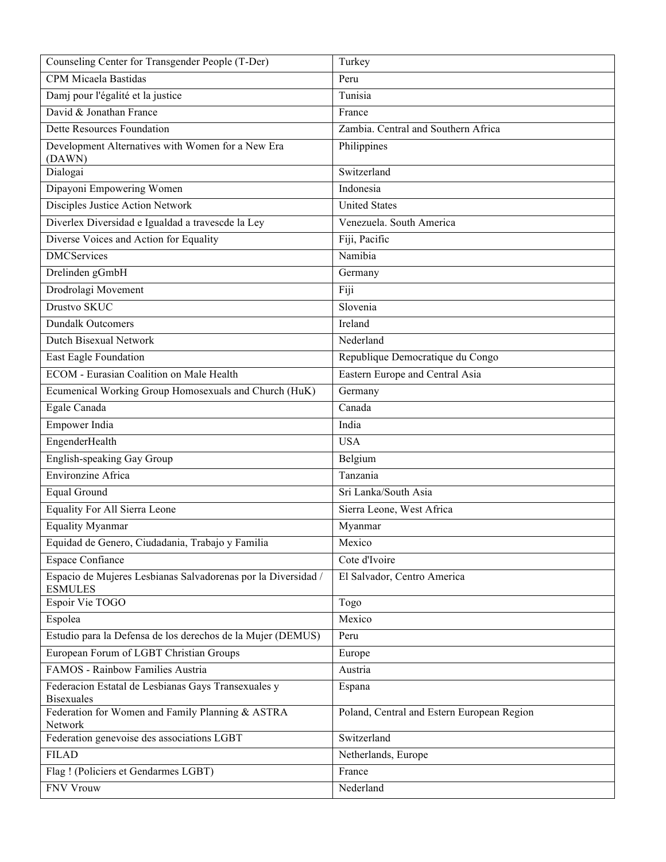| Counseling Center for Transgender People (T-Der)                                | Turkey                                     |
|---------------------------------------------------------------------------------|--------------------------------------------|
| CPM Micaela Bastidas                                                            | Peru                                       |
| Damj pour l'égalité et la justice                                               | Tunisia                                    |
| David & Jonathan France                                                         | France                                     |
| Dette Resources Foundation                                                      | Zambia. Central and Southern Africa        |
| Development Alternatives with Women for a New Era<br>(DAWN)                     | Philippines                                |
| Dialogai                                                                        | Switzerland                                |
| Dipayoni Empowering Women                                                       | Indonesia                                  |
| Disciples Justice Action Network                                                | <b>United States</b>                       |
| Diverlex Diversidad e Igualdad a travescde la Ley                               | Venezuela. South America                   |
| Diverse Voices and Action for Equality                                          | Fiji, Pacific                              |
| <b>DMCServices</b>                                                              | Namibia                                    |
| Drelinden gGmbH                                                                 | Germany                                    |
| Drodrolagi Movement                                                             | Fiji                                       |
| Drustvo SKUC                                                                    | Slovenia                                   |
| <b>Dundalk Outcomers</b>                                                        | Ireland                                    |
| <b>Dutch Bisexual Network</b>                                                   | Nederland                                  |
| East Eagle Foundation                                                           | Republique Democratique du Congo           |
| <b>ECOM</b> - Eurasian Coalition on Male Health                                 | Eastern Europe and Central Asia            |
| Ecumenical Working Group Homosexuals and Church (HuK)                           | Germany                                    |
| Egale Canada                                                                    | Canada                                     |
| Empower India                                                                   | India                                      |
| EngenderHealth                                                                  | <b>USA</b>                                 |
| English-speaking Gay Group                                                      | Belgium                                    |
| Environzine Africa                                                              | Tanzania                                   |
| <b>Equal Ground</b>                                                             | Sri Lanka/South Asia                       |
| <b>Equality For All Sierra Leone</b>                                            | Sierra Leone, West Africa                  |
| <b>Equality Myanmar</b>                                                         | Myanmar                                    |
| Equidad de Genero, Ciudadania, Trabajo y Familia                                | Mexico                                     |
| <b>Espace Confiance</b>                                                         | Cote d'Ivoire                              |
| Espacio de Mujeres Lesbianas Salvadorenas por la Diversidad /<br><b>ESMULES</b> | El Salvador, Centro America                |
| Espoir Vie TOGO                                                                 | Togo                                       |
| Espolea                                                                         | Mexico                                     |
| Estudio para la Defensa de los derechos de la Mujer (DEMUS)                     | Peru                                       |
| European Forum of LGBT Christian Groups                                         | Europe                                     |
| FAMOS - Rainbow Families Austria                                                | Austria                                    |
| Federacion Estatal de Lesbianas Gays Transexuales y                             | Espana                                     |
| <b>Bisexuales</b><br>Federation for Women and Family Planning & ASTRA           | Poland, Central and Estern European Region |
| Network                                                                         |                                            |
| Federation genevoise des associations LGBT                                      | Switzerland                                |
| <b>FILAD</b>                                                                    | Netherlands, Europe                        |
| Flag ! (Policiers et Gendarmes LGBT)                                            | France                                     |
| <b>FNV Vrouw</b>                                                                | Nederland                                  |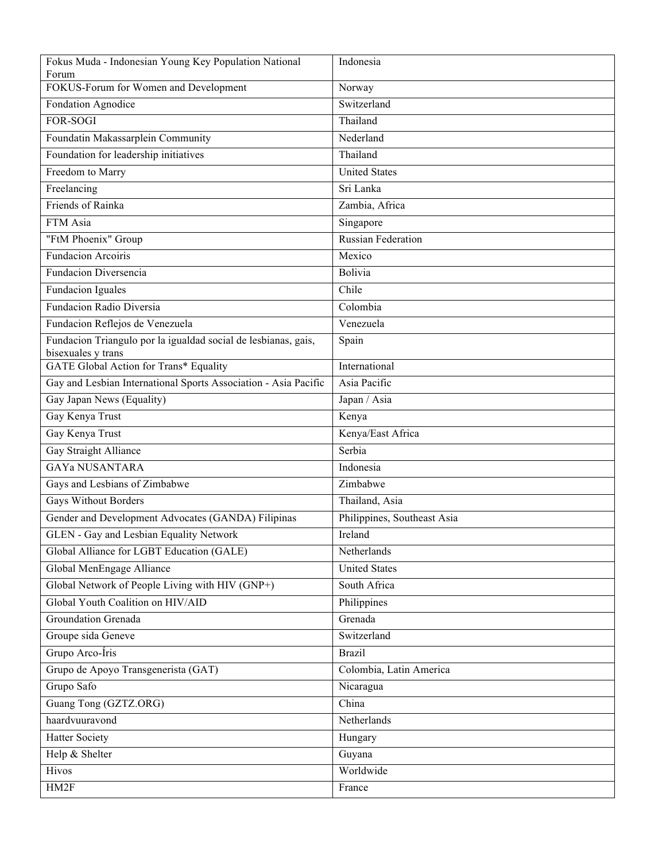| Fokus Muda - Indonesian Young Key Population National                                | Indonesia                   |
|--------------------------------------------------------------------------------------|-----------------------------|
| Forum<br>FOKUS-Forum for Women and Development                                       | Norway                      |
| Fondation Agnodice                                                                   | Switzerland                 |
| <b>FOR-SOGI</b>                                                                      | Thailand                    |
| Foundatin Makassarplein Community                                                    | Nederland                   |
| Foundation for leadership initiatives                                                | Thailand                    |
| Freedom to Marry                                                                     | <b>United States</b>        |
| Freelancing                                                                          | Sri Lanka                   |
| Friends of Rainka                                                                    | Zambia, Africa              |
| FTM Asia                                                                             | Singapore                   |
| "FtM Phoenix" Group                                                                  | <b>Russian Federation</b>   |
| <b>Fundacion Arcoiris</b>                                                            | Mexico                      |
| Fundacion Diversencia                                                                | Bolivia                     |
| <b>Fundacion Iguales</b>                                                             | Chile                       |
| Fundacion Radio Diversia                                                             | Colombia                    |
| Fundacion Reflejos de Venezuela                                                      | Venezuela                   |
| Fundacion Triangulo por la igualdad social de lesbianas, gais,<br>bisexuales y trans | Spain                       |
| <b>GATE Global Action for Trans* Equality</b>                                        | International               |
| Gay and Lesbian International Sports Association - Asia Pacific                      | Asia Pacific                |
| Gay Japan News (Equality)                                                            | Japan / Asia                |
| Gay Kenya Trust                                                                      | Kenya                       |
| Gay Kenya Trust                                                                      | Kenya/East Africa           |
| Gay Straight Alliance                                                                | Serbia                      |
| <b>GAYA NUSANTARA</b>                                                                | Indonesia                   |
| Gays and Lesbians of Zimbabwe                                                        | Zimbabwe                    |
| <b>Gays Without Borders</b>                                                          | Thailand, Asia              |
| Gender and Development Advocates (GANDA) Filipinas                                   | Philippines, Southeast Asia |
| <b>GLEN</b> - Gay and Lesbian Equality Network                                       | Ireland                     |
| Global Alliance for LGBT Education (GALE)                                            | Netherlands                 |
| Global MenEngage Alliance                                                            | <b>United States</b>        |
| Global Network of People Living with HIV (GNP+)                                      | South Africa                |
| Global Youth Coalition on HIV/AID                                                    | Philippines                 |
| Groundation Grenada                                                                  | Grenada                     |
| Groupe sida Geneve                                                                   | Switzerland                 |
| Grupo Arco-Íris                                                                      | <b>Brazil</b>               |
| Grupo de Apoyo Transgenerista (GAT)                                                  | Colombia, Latin America     |
| Grupo Safo                                                                           | Nicaragua                   |
| Guang Tong (GZTZ.ORG)                                                                | China                       |
| haardvuuravond                                                                       | Netherlands                 |
| <b>Hatter Society</b>                                                                | Hungary                     |
| Help & Shelter                                                                       | Guyana                      |
| Hivos                                                                                | Worldwide                   |
| HM2F                                                                                 | France                      |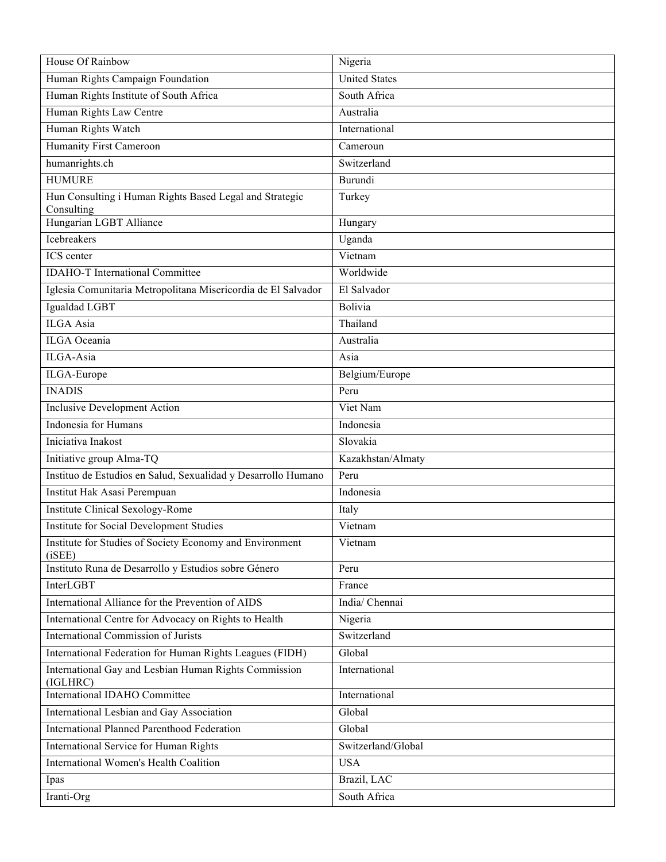| House Of Rainbow                                                      | Nigeria              |
|-----------------------------------------------------------------------|----------------------|
| Human Rights Campaign Foundation                                      | <b>United States</b> |
| Human Rights Institute of South Africa                                | South Africa         |
| Human Rights Law Centre                                               | Australia            |
| Human Rights Watch                                                    | International        |
| Humanity First Cameroon                                               | Cameroun             |
| humanrights.ch                                                        | Switzerland          |
| <b>HUMURE</b>                                                         | Burundi              |
| Hun Consulting i Human Rights Based Legal and Strategic<br>Consulting | Turkey               |
| Hungarian LGBT Alliance                                               | Hungary              |
| Icebreakers                                                           | Uganda               |
| ICS center                                                            | Vietnam              |
| <b>IDAHO-T</b> International Committee                                | Worldwide            |
| Iglesia Comunitaria Metropolitana Misericordia de El Salvador         | El Salvador          |
| Igualdad LGBT                                                         | Bolivia              |
| <b>ILGA</b> Asia                                                      | Thailand             |
| <b>ILGA</b> Oceania                                                   | Australia            |
| ILGA-Asia                                                             | Asia                 |
| ILGA-Europe                                                           | Belgium/Europe       |
| <b>INADIS</b>                                                         | Peru                 |
| <b>Inclusive Development Action</b>                                   | Viet Nam             |
| Indonesia for Humans                                                  | Indonesia            |
| Iniciativa Inakost                                                    | Slovakia             |
| Initiative group Alma-TQ                                              | Kazakhstan/Almaty    |
| Instituo de Estudios en Salud, Sexualidad y Desarrollo Humano         | Peru                 |
| Institut Hak Asasi Perempuan                                          | Indonesia            |
| <b>Institute Clinical Sexology-Rome</b>                               | Italy                |
| Institute for Social Development Studies                              | Vietnam              |
| Institute for Studies of Society Economy and Environment<br>(iSEE)    | Vietnam              |
| Instituto Runa de Desarrollo y Estudios sobre Género                  | Peru                 |
| InterLGBT                                                             | France               |
| International Alliance for the Prevention of AIDS                     | India/ Chennai       |
| International Centre for Advocacy on Rights to Health                 | Nigeria              |
| <b>International Commission of Jurists</b>                            | Switzerland          |
| International Federation for Human Rights Leagues (FIDH)              | Global               |
| International Gay and Lesbian Human Rights Commission<br>(IGLHRC)     | International        |
| <b>International IDAHO Committee</b>                                  | International        |
| International Lesbian and Gay Association                             | Global               |
| <b>International Planned Parenthood Federation</b>                    | Global               |
| International Service for Human Rights                                | Switzerland/Global   |
| International Women's Health Coalition                                | <b>USA</b>           |
| Ipas                                                                  | Brazil, LAC          |
| Iranti-Org                                                            | South Africa         |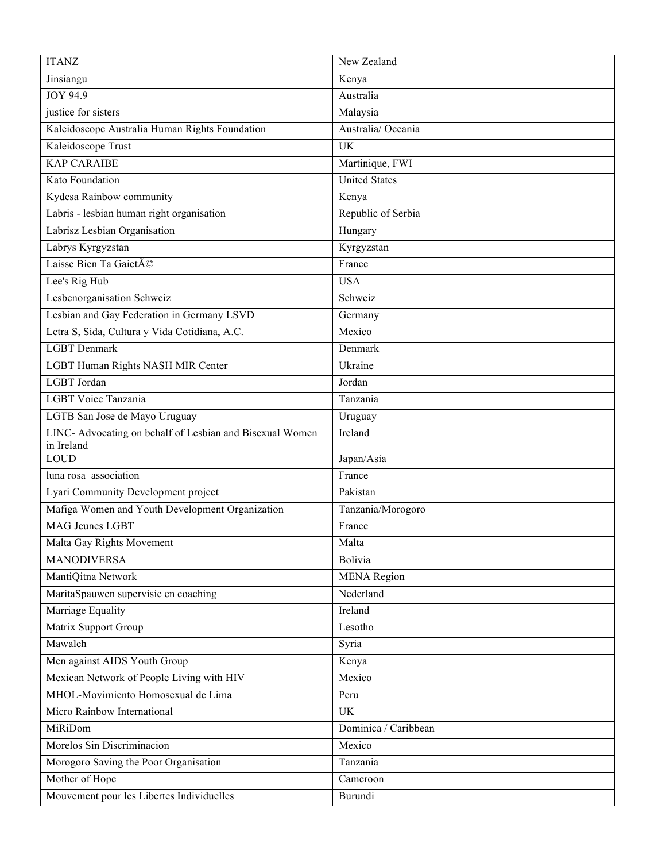| <b>ITANZ</b>                                             | New Zealand          |
|----------------------------------------------------------|----------------------|
| Jinsiangu                                                | Kenya                |
| JOY 94.9                                                 | Australia            |
| justice for sisters                                      | Malaysia             |
| Kaleidoscope Australia Human Rights Foundation           | Australia/Oceania    |
| Kaleidoscope Trust                                       | <b>UK</b>            |
| <b>KAP CARAIBE</b>                                       | Martinique, FWI      |
| Kato Foundation                                          | <b>United States</b> |
| Kydesa Rainbow community                                 | Kenya                |
| Labris - lesbian human right organisation                | Republic of Serbia   |
| Labrisz Lesbian Organisation                             | Hungary              |
| Labrys Kyrgyzstan                                        | Kyrgyzstan           |
| Laisse Bien Ta Gaieté                                    | France               |
| Lee's Rig Hub                                            | <b>USA</b>           |
| Lesbenorganisation Schweiz                               | Schweiz              |
| Lesbian and Gay Federation in Germany LSVD               | Germany              |
| Letra S, Sida, Cultura y Vida Cotidiana, A.C.            | Mexico               |
| <b>LGBT</b> Denmark                                      | Denmark              |
| LGBT Human Rights NASH MIR Center                        | Ukraine              |
| LGBT Jordan                                              | Jordan               |
| LGBT Voice Tanzania                                      | Tanzania             |
| LGTB San Jose de Mayo Uruguay                            | Uruguay              |
| LINC- Advocating on behalf of Lesbian and Bisexual Women | Ireland              |
|                                                          |                      |
| in Ireland<br><b>LOUD</b>                                | Japan/Asia           |
| luna rosa association                                    | France               |
| Lyari Community Development project                      | Pakistan             |
| Mafiga Women and Youth Development Organization          | Tanzania/Morogoro    |
| MAG Jeunes LGBT                                          | France               |
| Malta Gay Rights Movement                                | Malta                |
| <b>MANODIVERSA</b>                                       | Bolivia              |
| MantiQitna Network                                       | <b>MENA</b> Region   |
| MaritaSpauwen supervisie en coaching                     | Nederland            |
| Marriage Equality                                        | Ireland              |
| Matrix Support Group                                     | Lesotho              |
| Mawaleh                                                  | Syria                |
| Men against AIDS Youth Group                             | Kenya                |
| Mexican Network of People Living with HIV                | Mexico               |
| MHOL-Movimiento Homosexual de Lima                       | Peru                 |
| Micro Rainbow International                              | <b>UK</b>            |
| MiRiDom                                                  | Dominica / Caribbean |
| Morelos Sin Discriminacion                               | Mexico               |
| Morogoro Saving the Poor Organisation                    | Tanzania             |
| Mother of Hope                                           | Cameroon             |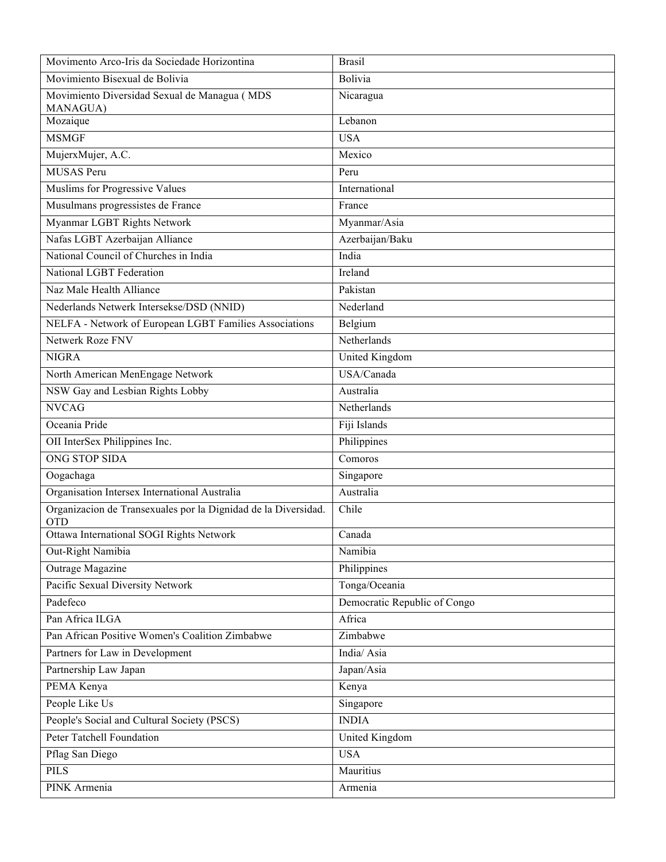| Movimento Arco-Iris da Sociedade Horizontina                                 | <b>Brasil</b>                |
|------------------------------------------------------------------------------|------------------------------|
| Movimiento Bisexual de Bolivia                                               | Bolivia                      |
| Movimiento Diversidad Sexual de Managua (MDS<br>MANAGUA)                     | Nicaragua                    |
| Mozaique                                                                     | Lebanon                      |
| <b>MSMGF</b>                                                                 | <b>USA</b>                   |
| MujerxMujer, A.C.                                                            | Mexico                       |
| <b>MUSAS</b> Peru                                                            | Peru                         |
| Muslims for Progressive Values                                               | International                |
| Musulmans progressistes de France                                            | France                       |
| Myanmar LGBT Rights Network                                                  | Myanmar/Asia                 |
| Nafas LGBT Azerbaijan Alliance                                               | Azerbaijan/Baku              |
| National Council of Churches in India                                        | India                        |
| National LGBT Federation                                                     | Ireland                      |
| Naz Male Health Alliance                                                     | Pakistan                     |
| Nederlands Netwerk Intersekse/DSD (NNID)                                     | Nederland                    |
| NELFA - Network of European LGBT Families Associations                       | Belgium                      |
| Netwerk Roze FNV                                                             | Netherlands                  |
| <b>NIGRA</b>                                                                 | <b>United Kingdom</b>        |
| North American MenEngage Network                                             | USA/Canada                   |
| NSW Gay and Lesbian Rights Lobby                                             | Australia                    |
| <b>NVCAG</b>                                                                 | Netherlands                  |
| Oceania Pride                                                                | Fiji Islands                 |
| OII InterSex Philippines Inc.                                                | Philippines                  |
| <b>ONG STOP SIDA</b>                                                         | Comoros                      |
| Oogachaga                                                                    | Singapore                    |
| Organisation Intersex International Australia                                | Australia                    |
| Organizacion de Transexuales por la Dignidad de la Diversidad.<br><b>OTD</b> | Chile                        |
| Ottawa International SOGI Rights Network                                     | Canada                       |
| Out-Right Namibia                                                            | Namibia                      |
| Outrage Magazine                                                             | Philippines                  |
| Pacific Sexual Diversity Network                                             | Tonga/Oceania                |
| Padefeco                                                                     | Democratic Republic of Congo |
| Pan Africa ILGA                                                              | Africa                       |
| Pan African Positive Women's Coalition Zimbabwe                              | Zimbabwe                     |
| Partners for Law in Development                                              | India/Asia                   |
| Partnership Law Japan                                                        | Japan/Asia                   |
| PEMA Kenya                                                                   | Kenya                        |
| People Like Us                                                               | Singapore                    |
| People's Social and Cultural Society (PSCS)                                  | <b>INDIA</b>                 |
| <b>Peter Tatchell Foundation</b>                                             | United Kingdom               |
| Pflag San Diego                                                              | <b>USA</b>                   |
| <b>PILS</b>                                                                  | Mauritius                    |
| PINK Armenia                                                                 | Armenia                      |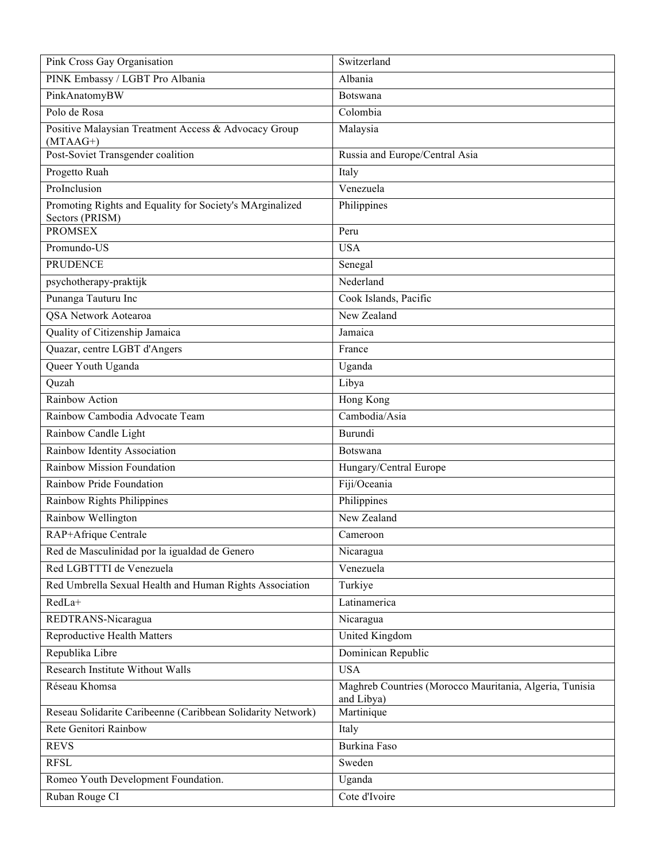| Pink Cross Gay Organisation                                                 | Switzerland                                                           |
|-----------------------------------------------------------------------------|-----------------------------------------------------------------------|
| PINK Embassy / LGBT Pro Albania                                             | Albania                                                               |
| PinkAnatomyBW                                                               | Botswana                                                              |
| Polo de Rosa                                                                | Colombia                                                              |
| Positive Malaysian Treatment Access & Advocacy Group<br>$(MTAAG+)$          | Malaysia                                                              |
| Post-Soviet Transgender coalition                                           | Russia and Europe/Central Asia                                        |
| Progetto Ruah                                                               | Italy                                                                 |
| ProInclusion                                                                | Venezuela                                                             |
| Promoting Rights and Equality for Society's MArginalized<br>Sectors (PRISM) | Philippines                                                           |
| <b>PROMSEX</b>                                                              | Peru                                                                  |
| Promundo-US                                                                 | <b>USA</b>                                                            |
| <b>PRUDENCE</b>                                                             | Senegal                                                               |
| psychotherapy-praktijk                                                      | Nederland                                                             |
| Punanga Tauturu Inc                                                         | Cook Islands, Pacific                                                 |
| QSA Network Aotearoa                                                        | New Zealand                                                           |
| Quality of Citizenship Jamaica                                              | Jamaica                                                               |
| Quazar, centre LGBT d'Angers                                                | France                                                                |
| Queer Youth Uganda                                                          | Uganda                                                                |
| Quzah                                                                       | Libya                                                                 |
| Rainbow Action                                                              | Hong Kong                                                             |
| Rainbow Cambodia Advocate Team                                              | Cambodia/Asia                                                         |
| Rainbow Candle Light                                                        | Burundi                                                               |
| Rainbow Identity Association                                                | Botswana                                                              |
| Rainbow Mission Foundation                                                  | Hungary/Central Europe                                                |
| Rainbow Pride Foundation                                                    | Fiji/Oceania                                                          |
| <b>Rainbow Rights Philippines</b>                                           | Philippines                                                           |
| Rainbow Wellington                                                          | New Zealand                                                           |
| RAP+Afrique Centrale                                                        | Cameroon                                                              |
| Red de Masculinidad por la igualdad de Genero                               | Nicaragua                                                             |
| Red LGBTTTI de Venezuela                                                    | Venezuela                                                             |
| Red Umbrella Sexual Health and Human Rights Association                     | Turkiye                                                               |
| RedLa+                                                                      | Latinamerica                                                          |
| REDTRANS-Nicaragua                                                          | Nicaragua                                                             |
| <b>Reproductive Health Matters</b>                                          | United Kingdom                                                        |
| Republika Libre                                                             | Dominican Republic                                                    |
| Research Institute Without Walls                                            | <b>USA</b>                                                            |
| Réseau Khomsa                                                               | Maghreb Countries (Morocco Mauritania, Algeria, Tunisia<br>and Libya) |
| Reseau Solidarite Caribeenne (Caribbean Solidarity Network)                 | Martinique                                                            |
| Rete Genitori Rainbow                                                       | Italy                                                                 |
| <b>REVS</b>                                                                 | Burkina Faso                                                          |
| <b>RFSL</b>                                                                 | Sweden                                                                |
| Romeo Youth Development Foundation.                                         | Uganda                                                                |
| Ruban Rouge CI                                                              | Cote d'Ivoire                                                         |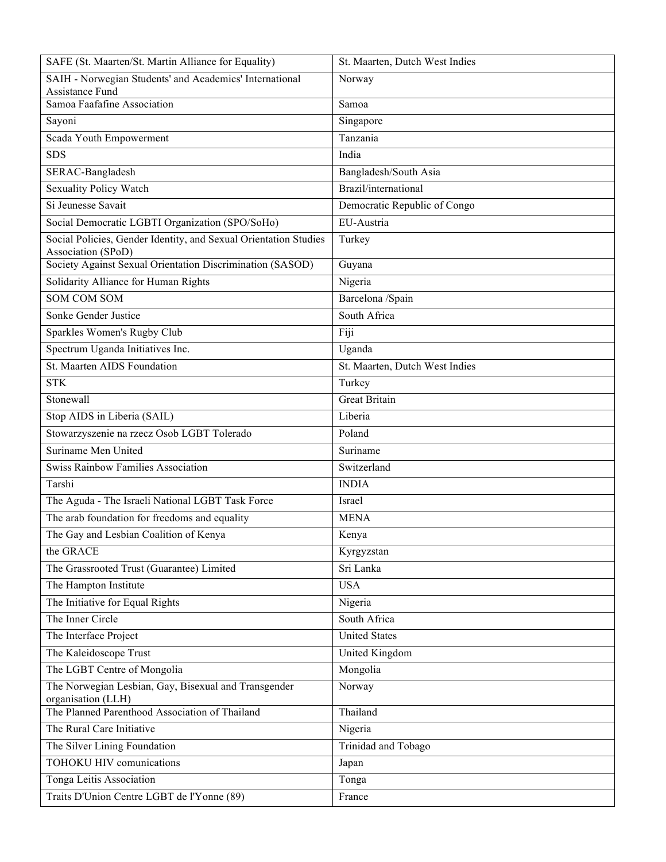| SAFE (St. Maarten/St. Martin Alliance for Equality)                                    | St. Maarten, Dutch West Indies |
|----------------------------------------------------------------------------------------|--------------------------------|
| SAIH - Norwegian Students' and Academics' International<br>Assistance Fund             | Norway                         |
| Samoa Faafafine Association                                                            | Samoa                          |
| Sayoni                                                                                 | Singapore                      |
| Scada Youth Empowerment                                                                | Tanzania                       |
| <b>SDS</b>                                                                             | India                          |
| SERAC-Bangladesh                                                                       | Bangladesh/South Asia          |
| Sexuality Policy Watch                                                                 | Brazil/international           |
| Si Jeunesse Savait                                                                     | Democratic Republic of Congo   |
| Social Democratic LGBTI Organization (SPO/SoHo)                                        | EU-Austria                     |
| Social Policies, Gender Identity, and Sexual Orientation Studies<br>Association (SPoD) | Turkey                         |
| Society Against Sexual Orientation Discrimination (SASOD)                              | Guyana                         |
| Solidarity Alliance for Human Rights                                                   | Nigeria                        |
| <b>SOM COM SOM</b>                                                                     | Barcelona /Spain               |
| Sonke Gender Justice                                                                   | South Africa                   |
| Sparkles Women's Rugby Club                                                            | Fiji                           |
| Spectrum Uganda Initiatives Inc.                                                       | Uganda                         |
| St. Maarten AIDS Foundation                                                            | St. Maarten, Dutch West Indies |
| <b>STK</b>                                                                             | Turkey                         |
| Stonewall                                                                              | <b>Great Britain</b>           |
| Stop AIDS in Liberia (SAIL)                                                            | Liberia                        |
| Stowarzyszenie na rzecz Osob LGBT Tolerado                                             | Poland                         |
| Suriname Men United                                                                    | Suriname                       |
| <b>Swiss Rainbow Families Association</b>                                              | Switzerland                    |
| Tarshi                                                                                 | <b>INDIA</b>                   |
| The Aguda - The Israeli National LGBT Task Force                                       | Israel                         |
| The arab foundation for freedoms and equality                                          | <b>MENA</b>                    |
| The Gay and Lesbian Coalition of Kenya                                                 | Kenya                          |
| the GRACE                                                                              | Kyrgyzstan                     |
| The Grassrooted Trust (Guarantee) Limited                                              | Sri Lanka                      |
| The Hampton Institute                                                                  | <b>USA</b>                     |
| The Initiative for Equal Rights                                                        | Nigeria                        |
| The Inner Circle                                                                       | South Africa                   |
| The Interface Project                                                                  | <b>United States</b>           |
| The Kaleidoscope Trust                                                                 | United Kingdom                 |
| The LGBT Centre of Mongolia                                                            | Mongolia                       |
| The Norwegian Lesbian, Gay, Bisexual and Transgender<br>organisation (LLH)             | Norway                         |
| The Planned Parenthood Association of Thailand                                         | Thailand                       |
| The Rural Care Initiative                                                              | Nigeria                        |
| The Silver Lining Foundation                                                           | Trinidad and Tobago            |
| TOHOKU HIV comunications                                                               | Japan                          |
| Tonga Leitis Association                                                               | Tonga                          |
| Traits D'Union Centre LGBT de l'Yonne (89)                                             | France                         |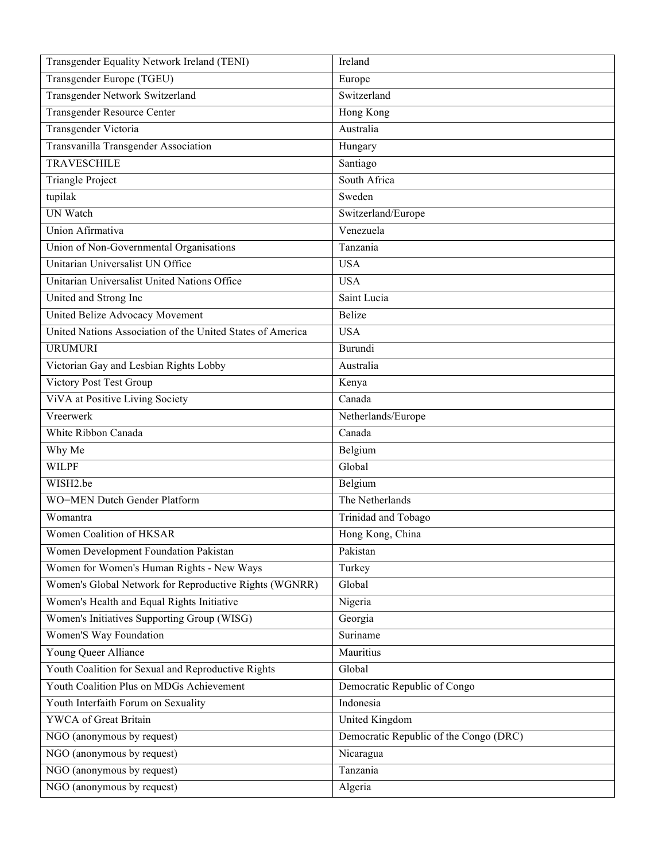| Transgender Equality Network Ireland (TENI)                | Ireland                                |
|------------------------------------------------------------|----------------------------------------|
| Transgender Europe (TGEU)                                  | Europe                                 |
| Transgender Network Switzerland                            | Switzerland                            |
| <b>Transgender Resource Center</b>                         | Hong Kong                              |
| Transgender Victoria                                       | Australia                              |
| Transvanilla Transgender Association                       | Hungary                                |
| <b>TRAVESCHILE</b>                                         | Santiago                               |
| <b>Triangle Project</b>                                    | South Africa                           |
| tupilak                                                    | Sweden                                 |
| <b>UN</b> Watch                                            | Switzerland/Europe                     |
| Union Afirmativa                                           | Venezuela                              |
| Union of Non-Governmental Organisations                    | Tanzania                               |
| Unitarian Universalist UN Office                           | <b>USA</b>                             |
| Unitarian Universalist United Nations Office               | <b>USA</b>                             |
| United and Strong Inc                                      | Saint Lucia                            |
| United Belize Advocacy Movement                            | <b>Belize</b>                          |
| United Nations Association of the United States of America | <b>USA</b>                             |
| <b>URUMURI</b>                                             | Burundi                                |
| Victorian Gay and Lesbian Rights Lobby                     | Australia                              |
| Victory Post Test Group                                    | Kenya                                  |
| ViVA at Positive Living Society                            | Canada                                 |
| Vreerwerk                                                  | Netherlands/Europe                     |
| White Ribbon Canada                                        | Canada                                 |
| Why Me                                                     | Belgium                                |
| <b>WILPF</b>                                               | Global                                 |
| WISH2.be                                                   | Belgium                                |
| <b>WO=MEN Dutch Gender Platform</b>                        | The Netherlands                        |
| Womantra                                                   | Trinidad and Tobago                    |
| Women Coalition of HKSAR                                   | Hong Kong, China                       |
| Women Development Foundation Pakistan                      | Pakistan                               |
| Women for Women's Human Rights - New Ways                  | Turkey                                 |
| Women's Global Network for Reproductive Rights (WGNRR)     | Global                                 |
| Women's Health and Equal Rights Initiative                 | Nigeria                                |
| Women's Initiatives Supporting Group (WISG)                | Georgia                                |
| Women'S Way Foundation                                     | Suriname                               |
| Young Queer Alliance                                       | Mauritius                              |
| Youth Coalition for Sexual and Reproductive Rights         | Global                                 |
| Youth Coalition Plus on MDGs Achievement                   | Democratic Republic of Congo           |
| Youth Interfaith Forum on Sexuality                        | Indonesia                              |
| YWCA of Great Britain                                      | United Kingdom                         |
| NGO (anonymous by request)                                 | Democratic Republic of the Congo (DRC) |
| NGO (anonymous by request)                                 | Nicaragua                              |
| NGO (anonymous by request)                                 | Tanzania                               |
| NGO (anonymous by request)                                 | Algeria                                |